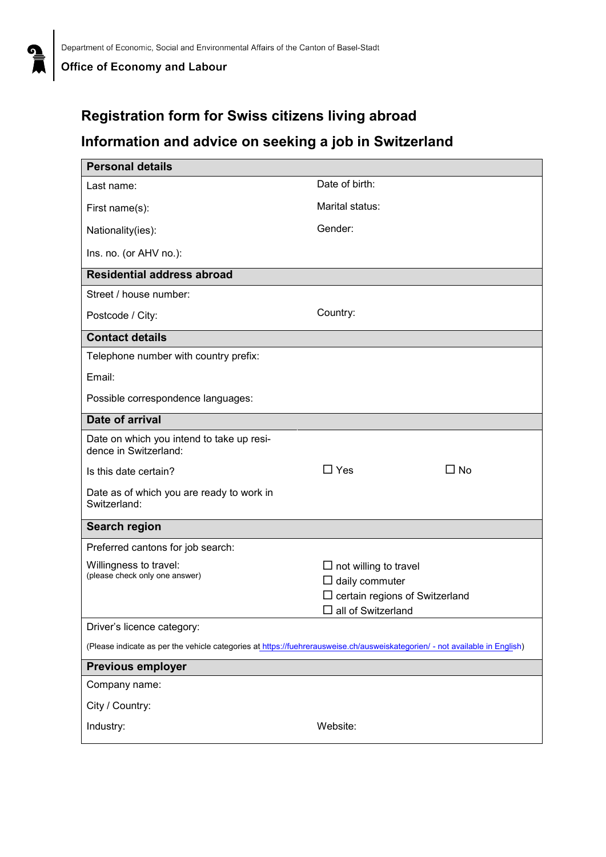## **Registration form for Swiss citizens living abroad**

## **Information and advice on seeking a job in Switzerland**

| <b>Personal details</b>                                                                                                     |                                                                                                                                |  |  |  |
|-----------------------------------------------------------------------------------------------------------------------------|--------------------------------------------------------------------------------------------------------------------------------|--|--|--|
| Last name:                                                                                                                  | Date of birth:                                                                                                                 |  |  |  |
| First name(s):                                                                                                              | Marital status:                                                                                                                |  |  |  |
| Nationality(ies):                                                                                                           | Gender:                                                                                                                        |  |  |  |
| Ins. no. (or AHV no.):                                                                                                      |                                                                                                                                |  |  |  |
| <b>Residential address abroad</b>                                                                                           |                                                                                                                                |  |  |  |
| Street / house number:                                                                                                      |                                                                                                                                |  |  |  |
| Postcode / City:                                                                                                            | Country:                                                                                                                       |  |  |  |
| <b>Contact details</b>                                                                                                      |                                                                                                                                |  |  |  |
| Telephone number with country prefix:                                                                                       |                                                                                                                                |  |  |  |
| Email:                                                                                                                      |                                                                                                                                |  |  |  |
| Possible correspondence languages:                                                                                          |                                                                                                                                |  |  |  |
| Date of arrival                                                                                                             |                                                                                                                                |  |  |  |
| Date on which you intend to take up resi-<br>dence in Switzerland:                                                          |                                                                                                                                |  |  |  |
| Is this date certain?                                                                                                       | $\Box$ Yes<br>$\Box$ No                                                                                                        |  |  |  |
| Date as of which you are ready to work in<br>Switzerland:                                                                   |                                                                                                                                |  |  |  |
| <b>Search region</b>                                                                                                        |                                                                                                                                |  |  |  |
| Preferred cantons for job search:                                                                                           |                                                                                                                                |  |  |  |
| Willingness to travel:<br>(please check only one answer)                                                                    | $\Box$ not willing to travel<br>$\Box$ daily commuter<br>$\square$ certain regions of Switzerland<br>$\Box$ all of Switzerland |  |  |  |
| Driver's licence category:                                                                                                  |                                                                                                                                |  |  |  |
| (Please indicate as per the vehicle categories at https://fuehrerausweise.ch/ausweiskategorien/ - not available in English) |                                                                                                                                |  |  |  |
| <b>Previous employer</b>                                                                                                    |                                                                                                                                |  |  |  |
| Company name:                                                                                                               |                                                                                                                                |  |  |  |
| City / Country:                                                                                                             |                                                                                                                                |  |  |  |
| Industry:                                                                                                                   | Website:                                                                                                                       |  |  |  |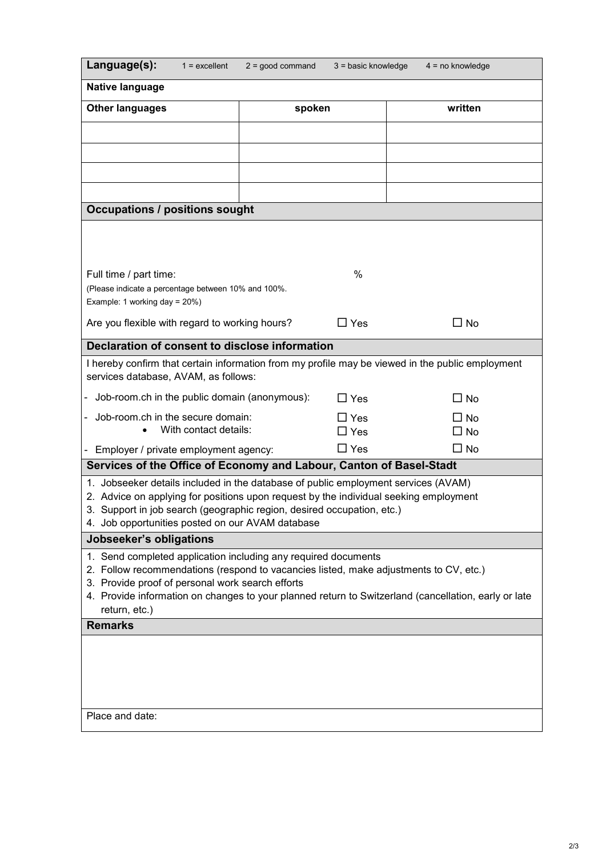| Language(s):<br>$1 =$ excellent                                                                                                           | $2 = good command$ | $3 = basic knowledge$    |  | $4 = no$ knowledge     |  |  |
|-------------------------------------------------------------------------------------------------------------------------------------------|--------------------|--------------------------|--|------------------------|--|--|
| Native language                                                                                                                           |                    |                          |  |                        |  |  |
| <b>Other languages</b>                                                                                                                    | spoken             |                          |  | written                |  |  |
|                                                                                                                                           |                    |                          |  |                        |  |  |
|                                                                                                                                           |                    |                          |  |                        |  |  |
|                                                                                                                                           |                    |                          |  |                        |  |  |
|                                                                                                                                           |                    |                          |  |                        |  |  |
| <b>Occupations / positions sought</b>                                                                                                     |                    |                          |  |                        |  |  |
|                                                                                                                                           |                    |                          |  |                        |  |  |
|                                                                                                                                           |                    |                          |  |                        |  |  |
| Full time / part time:                                                                                                                    |                    | $\%$                     |  |                        |  |  |
| (Please indicate a percentage between 10% and 100%.<br>Example: 1 working day = 20%)                                                      |                    |                          |  |                        |  |  |
| Are you flexible with regard to working hours?                                                                                            |                    | $\Box$ Yes               |  | $\square$ No           |  |  |
| Declaration of consent to disclose information                                                                                            |                    |                          |  |                        |  |  |
| I hereby confirm that certain information from my profile may be viewed in the public employment                                          |                    |                          |  |                        |  |  |
| services database, AVAM, as follows:                                                                                                      |                    |                          |  |                        |  |  |
| Job-room.ch in the public domain (anonymous):                                                                                             |                    | $\Box$ Yes               |  | □ No                   |  |  |
| Job-room.ch in the secure domain:<br>With contact details:                                                                                |                    | $\Box$ Yes<br>$\Box$ Yes |  | □ No                   |  |  |
| - Employer / private employment agency:                                                                                                   |                    | $\Box$ Yes               |  | $\Box$ No<br>$\Box$ No |  |  |
| Services of the Office of Economy and Labour, Canton of Basel-Stadt                                                                       |                    |                          |  |                        |  |  |
| 1. Jobseeker details included in the database of public employment services (AVAM)                                                        |                    |                          |  |                        |  |  |
| 2. Advice on applying for positions upon request by the individual seeking employment                                                     |                    |                          |  |                        |  |  |
| 3. Support in job search (geographic region, desired occupation, etc.)<br>4. Job opportunities posted on our AVAM database                |                    |                          |  |                        |  |  |
| Jobseeker's obligations                                                                                                                   |                    |                          |  |                        |  |  |
| 1. Send completed application including any required documents                                                                            |                    |                          |  |                        |  |  |
| 2. Follow recommendations (respond to vacancies listed, make adjustments to CV, etc.)<br>3. Provide proof of personal work search efforts |                    |                          |  |                        |  |  |
| 4. Provide information on changes to your planned return to Switzerland (cancellation, early or late                                      |                    |                          |  |                        |  |  |
| return, etc.)                                                                                                                             |                    |                          |  |                        |  |  |
| <b>Remarks</b>                                                                                                                            |                    |                          |  |                        |  |  |
|                                                                                                                                           |                    |                          |  |                        |  |  |
|                                                                                                                                           |                    |                          |  |                        |  |  |
|                                                                                                                                           |                    |                          |  |                        |  |  |
|                                                                                                                                           |                    |                          |  |                        |  |  |
| Place and date:                                                                                                                           |                    |                          |  |                        |  |  |